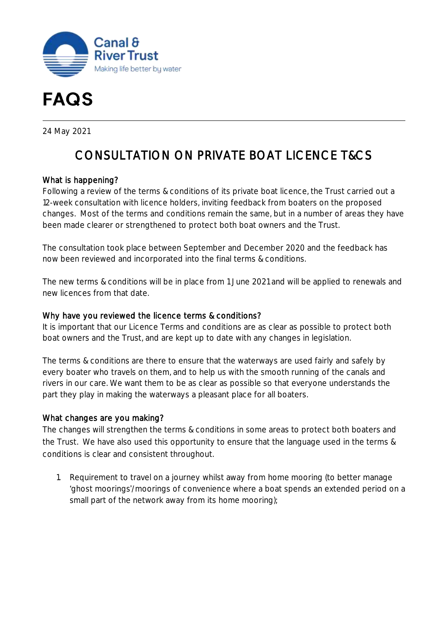



24 May 2021

# CONSULTATION ON PRIVATE BOAT LICENCE T&CS

## What is happening?

Following a review of the terms & conditions of its private boat licence, the Trust carried out a 12-week consultation with licence holders, inviting feedback from boaters on the proposed changes. Most of the terms and conditions remain the same, but in a number of areas they have been made clearer or strengthened to protect both boat owners and the Trust.

The consultation took place between September and December 2020 and the feedback has now been reviewed and incorporated into the final terms & conditions.

The new terms & conditions will be in place from 1 June 2021 and will be applied to renewals and new licences from that date.

#### Why have you reviewed the licence terms & conditions?

It is important that our Licence Terms and conditions are as clear as possible to protect both boat owners and the Trust, and are kept up to date with any changes in legislation.

The terms & conditions are there to ensure that the waterways are used fairly and safely by every boater who travels on them, and to help us with the smooth running of the canals and rivers in our care. We want them to be as clear as possible so that everyone understands the part they play in making the waterways a pleasant place for all boaters.

#### What changes are you making?

The changes will strengthen the terms & conditions in some areas to protect both boaters and the Trust. We have also used this opportunity to ensure that the language used in the terms & conditions is clear and consistent throughout.

1. Requirement to travel on a journey whilst away from home mooring (to better manage ghost moorings /moorings of convenience where a boat spends an extended period on a small part of the network away from its home mooring);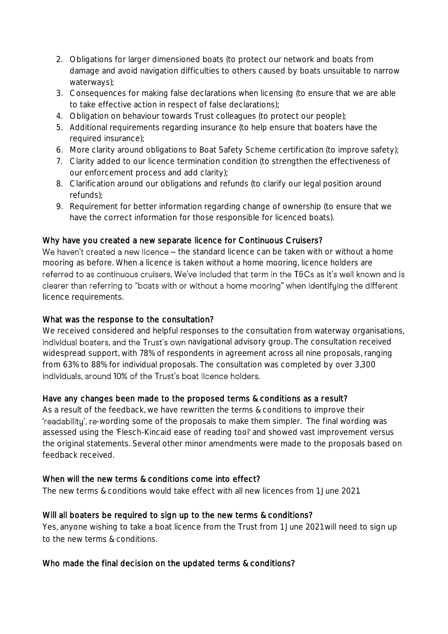- 2. Obligations for larger dimensioned boats (to protect our network and boats from damage and avoid navigation difficulties to others caused by boats unsuitable to narrow waterways);
- 3. Consequences for making false declarations when licensing (to ensure that we are able to take effective action in respect of false declarations);
- 4. Obligation on behaviour towards Trust colleagues (to protect our people);
- 5. Additional requirements regarding insurance (to help ensure that boaters have the required insurance);
- 6. More clarity around obligations to Boat Safety Scheme certification (to improve safety);
- 7. Clarity added to our licence termination condition (to strengthen the effectiveness of our enforcement process and add clarity);
- 8. Clarification around our obligations and refunds (to clarify our legal position around refunds);
- 9. Requirement for better information regarding change of ownership (to ensure that we have the correct information for those responsible for licenced boats).

## Why have you created a new separate licence for Continuous Cruisers?

We haven't created a new licence  $-$  the standard licence can be taken with or without a home mooring as before. When a licence is taken without a home mooring, licence holders are referred to as continuous cruisers. We've included that term in the T&Cs as it's well known and is clearer than referring to "boats with or without a home mooring" when identifuing the different licence requirements.

## What was the response to the consultation?

We received considered and helpful responses to the consultation from waterway organisations, individual boaters, and the Trust's own navigational advisory group. The consultation received widespread support, with 78% of respondents in agreement across all nine proposals, ranging from 63% to 88% for individual proposals. The consultation was completed by over 3,300 individuals, around 10% of the Trust's boat licence holders.

## Have any changes been made to the proposed terms & conditions as a result?

As a result of the feedback, we have rewritten the terms & conditions to improve their 'readability', re-wording some of the proposals to make them simpler. The final wording was assessed using the 'Flesch-Kincaid ease of reading tool' and showed vast improvement versus the original statements. Several other minor amendments were made to the proposals based on feedback received.

## When will the new terms & conditions come into effect?

The new terms & conditions would take effect with all new licences from 1 June 2021.

## Will all boaters be required to sign up to the new terms & conditions?

Yes, anyone wishing to take a boat licence from the Trust from 1 June 2021 will need to sign up to the new terms & conditions.

## Who made the final decision on the updated terms & conditions?